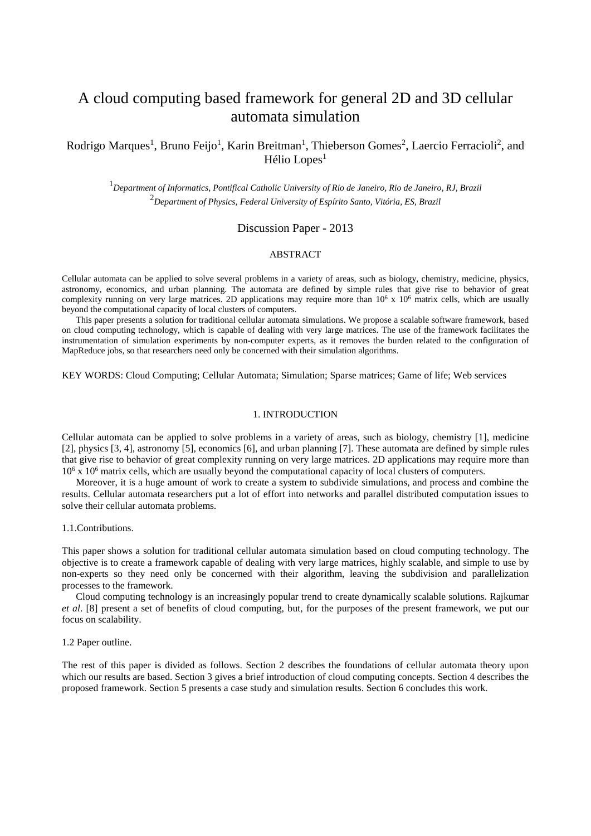# A cloud computing based framework for general 2D and 3D cellular automata simulation

Rodrigo Marques<sup>1</sup>, Bruno Feijo<sup>1</sup>, Karin Breitman<sup>1</sup>, Thieberson Gomes<sup>2</sup>, Laercio Ferracioli<sup>2</sup>, and  $H$ élio Lopes<sup>1</sup>

1 *Department of Informatics, Pontifical Catholic University of Rio de Janeiro, Rio de Janeiro, RJ, Brazil* 2 *Department of Physics, Federal University of Espírito Santo, Vitória, ES, Brazil*

# Discussion Paper - 2013

# ABSTRACT

Cellular automata can be applied to solve several problems in a variety of areas, such as biology, chemistry, medicine, physics, astronomy, economics, and urban planning. The automata are defined by simple rules that give rise to behavior of great complexity running on very large matrices. 2D applications may require more than  $10^6$  x  $10^6$  matrix cells, which are usually beyond the computational capacity of local clusters of computers.

This paper presents a solution for traditional cellular automata simulations. We propose a scalable software framework, based on cloud computing technology, which is capable of dealing with very large matrices. The use of the framework facilitates the instrumentation of simulation experiments by non-computer experts, as it removes the burden related to the configuration of MapReduce jobs, so that researchers need only be concerned with their simulation algorithms.

KEY WORDS: Cloud Computing; Cellular Automata; Simulation; Sparse matrices; Game of life; Web services

### 1. INTRODUCTION

Cellular automata can be applied to solve problems in a variety of areas, such as biology, chemistry [1], medicine [2], physics [3, 4], astronomy [5], economics [6], and urban planning [7]. These automata are defined by simple rules that give rise to behavior of great complexity running on very large matrices. 2D applications may require more than  $10<sup>6</sup>$  x 10<sup>6</sup> matrix cells, which are usually beyond the computational capacity of local clusters of computers.

Moreover, it is a huge amount of work to create a system to subdivide simulations, and process and combine the results. Cellular automata researchers put a lot of effort into networks and parallel distributed computation issues to solve their cellular automata problems.

1.1.Contributions.

This paper shows a solution for traditional cellular automata simulation based on cloud computing technology. The objective is to create a framework capable of dealing with very large matrices, highly scalable, and simple to use by non-experts so they need only be concerned with their algorithm, leaving the subdivision and parallelization processes to the framework.

Cloud computing technology is an increasingly popular trend to create dynamically scalable solutions. Rajkumar *et al*. [8] present a set of benefits of cloud computing, but, for the purposes of the present framework, we put our focus on scalability.

### 1.2 Paper outline.

The rest of this paper is divided as follows. Section 2 describes the foundations of cellular automata theory upon which our results are based. Section 3 gives a brief introduction of cloud computing concepts. Section 4 describes the proposed framework. Section 5 presents a case study and simulation results. Section 6 concludes this work.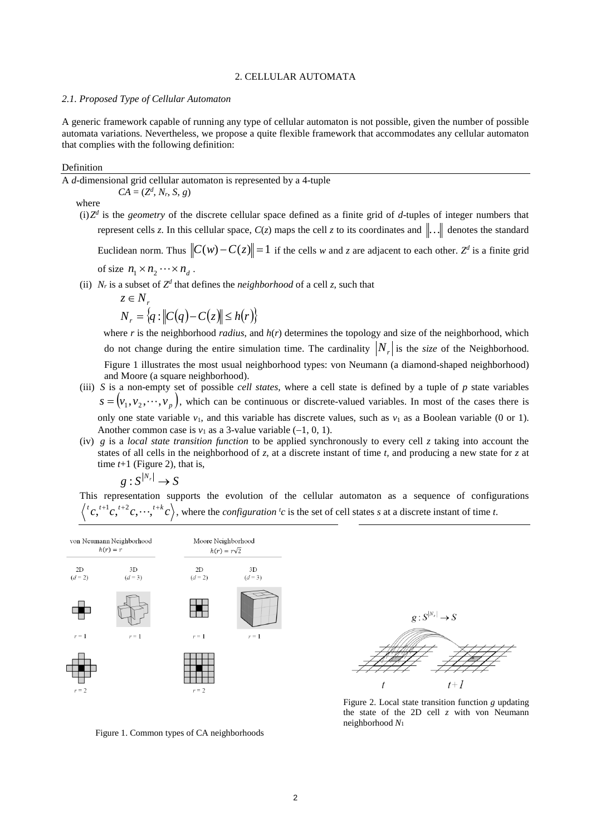#### 2. CELLULAR AUTOMATA

#### *2.1. Proposed Type of Cellular Automaton*

A generic framework capable of running any type of cellular automaton is not possible, given the number of possible automata variations. Nevertheless, we propose a quite flexible framework that accommodates any cellular automaton that complies with the following definition:

# Definition

A *d*-dimensional grid cellular automaton is represented by a 4-tuple

 $CA = (Z^d, N_r, S, g)$ 

where

 $(i)Z<sup>d</sup>$  is the *geometry* of the discrete cellular space defined as a finite grid of *d*-tuples of integer numbers that represent cells *z*. In this cellular space,  $C(z)$  maps the cell *z* to its coordinates and  $\|\ldots\|$  denotes the standard Euclidean norm. Thus  $||C(w) - C(z)|| = 1$  if the cells *w* and *z* are adjacent to each other.  $Z^d$  is a finite grid

of size  $n_1 \times n_2 \cdots \times n_d$ .

(ii) *N<sub>r</sub>* is a subset of  $Z^d$  that defines the *neighborhood* of a cell *z*, such that

$$
z \in N_r
$$
  

$$
N_r = \{q : ||C(q) - C(z)|| \le h(r)\}
$$

where *r* is the neighborhood *radius*, and *h*(*r*) determines the topology and size of the neighborhood, which do not change during the entire simulation time. The cardinality  $|N_r|$  is the *size* of the Neighborhood. Figure 1 illustrates the most usual neighborhood types: von Neumann (a diamond-shaped neighborhood) and Moore (a square neighborhood).

- (iii) *S* is a non-empty set of possible *cell states*, where a cell state is defined by a tuple of *p* state variables  $s = (v_1, v_2, \dots, v_p)$ , which can be continuous or discrete-valued variables. In most of the cases there is only one state variable  $v_1$ , and this variable has discrete values, such as  $v_1$  as a Boolean variable (0 or 1). Another common case is  $v_1$  as a 3-value variable  $(-1, 0, 1)$ .
- (iv)  $g$  is a *local state transition function* to be applied synchronously to every cell  $z$  taking into account the states of all cells in the neighborhood of *z,* at a discrete instant of time *t,* and producing a new state for *z* at time  $t+1$  (Figure 2), that is,

$$
g:S^{|N_r|}\to S
$$

This representation supports the evolution of the cellular automaton as a sequence of configurations  $c^t c$ ,  $c^{t+1} c$ ,  $c^{t+2} c$ ,  $\cdots$ ,  $c^{t+k} c$ , where the *configuration t* is the set of cell states *s* at a discrete instant of time *t*.



the state of the 2D cell *z* with von Neumann neighborhood *N*<sup>1</sup>

Figure 1. Common types of CA neighborhoods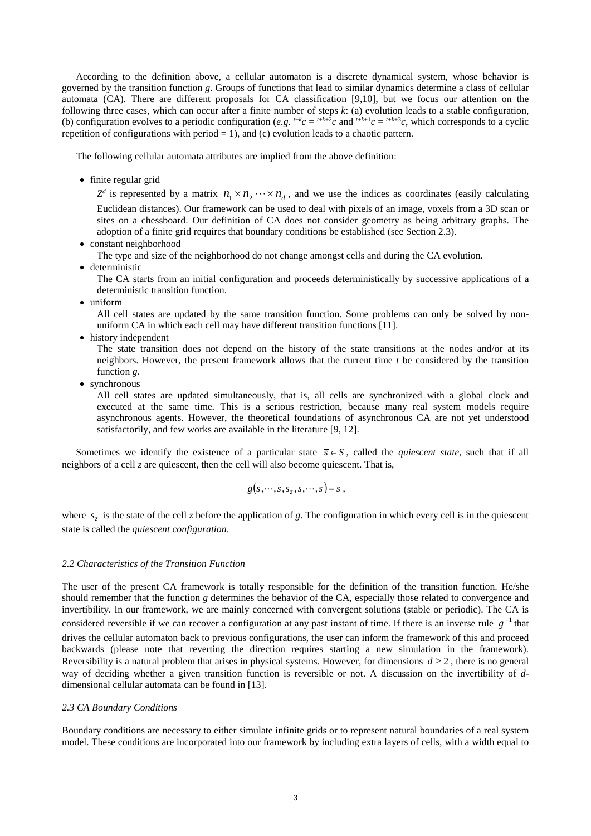According to the definition above, a cellular automaton is a discrete dynamical system, whose behavior is governed by the transition function *g*. Groups of functions that lead to similar dynamics determine a class of cellular automata (CA). There are different proposals for CA classification [9,10], but we focus our attention on the following three cases, which can occur after a finite number of steps *k*: (a) evolution leads to a stable configuration, (b) configuration evolves to a periodic configuration (*e.g.*  $t+kc = t+k+2c$  and  $t+k+1$ <sub>c</sub> =  $t+k+3c$ , which corresponds to a cyclic repetition of configurations with period  $= 1$ ), and (c) evolution leads to a chaotic pattern.

The following cellular automata attributes are implied from the above definition:

• finite regular grid

 $Z^d$  is represented by a matrix  $n_1 \times n_2 \cdots \times n_d$ , and we use the indices as coordinates (easily calculating Euclidean distances). Our framework can be used to deal with pixels of an image, voxels from a 3D scan or sites on a chessboard. Our definition of CA does not consider geometry as being arbitrary graphs. The adoption of a finite grid requires that boundary conditions be established (see Section 2.3).

- constant neighborhood
	- The type and size of the neighborhood do not change amongst cells and during the CA evolution.
- deterministic
	- The CA starts from an initial configuration and proceeds deterministically by successive applications of a deterministic transition function.
- uniform

All cell states are updated by the same transition function. Some problems can only be solved by nonuniform CA in which each cell may have different transition functions [11].

• history independent

The state transition does not depend on the history of the state transitions at the nodes and/or at its neighbors. However, the present framework allows that the current time *t* be considered by the transition function *g*.

• synchronous

All cell states are updated simultaneously, that is, all cells are synchronized with a global clock and executed at the same time. This is a serious restriction, because many real system models require asynchronous agents. However, the theoretical foundations of asynchronous CA are not yet understood satisfactorily, and few works are available in the literature [9, 12].

Sometimes we identify the existence of a particular state  $\bar{s} \in S$ , called the *quiescent state*, such that if all neighbors of a cell *z* are quiescent, then the cell will also become quiescent. That is,

$$
g(\overline{s},\cdots,\overline{s},s_z,\overline{s},\cdots,\overline{s})=\overline{s},
$$

where  $s_z$  is the state of the cell *z* before the application of *g*. The configuration in which every cell is in the quiescent state is called the *quiescent configuration*.

## *2.2 Characteristics of the Transition Function*

The user of the present CA framework is totally responsible for the definition of the transition function. He/she should remember that the function *g* determines the behavior of the CA, especially those related to convergence and invertibility. In our framework, we are mainly concerned with convergent solutions (stable or periodic). The CA is considered reversible if we can recover a configuration at any past instant of time. If there is an inverse rule  $g^{-1}$  that drives the cellular automaton back to previous configurations, the user can inform the framework of this and proceed backwards (please note that reverting the direction requires starting a new simulation in the framework). Reversibility is a natural problem that arises in physical systems. However, for dimensions  $d \ge 2$ , there is no general way of deciding whether a given transition function is reversible or not. A discussion on the invertibility of *d*dimensional cellular automata can be found in [13].

## *2.3 CA Boundary Conditions*

Boundary conditions are necessary to either simulate infinite grids or to represent natural boundaries of a real system model. These conditions are incorporated into our framework by including extra layers of cells, with a width equal to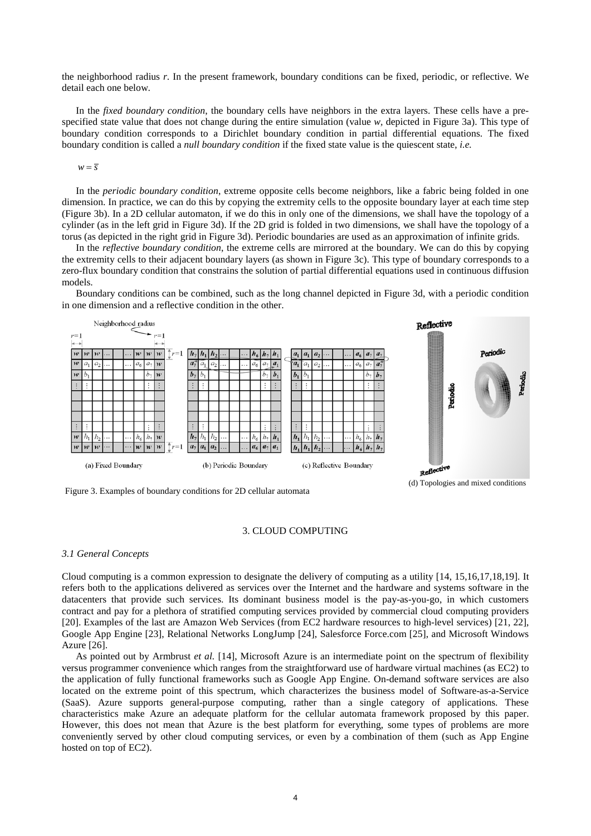the neighborhood radius *r*. In the present framework, boundary conditions can be fixed, periodic, or reflective. We detail each one below.

In the *fixed boundary condition*, the boundary cells have neighbors in the extra layers. These cells have a prespecified state value that does not change during the entire simulation (value *w,* depicted in Figure 3a). This type of boundary condition corresponds to a Dirichlet boundary condition in partial differential equations. The fixed boundary condition is called a *null boundary condition* if the fixed state value is the quiescent state, *i.e.*

 $w = \overline{s}$ 

In the *periodic boundary condition*, extreme opposite cells become neighbors, like a fabric being folded in one dimension. In practice, we can do this by copying the extremity cells to the opposite boundary layer at each time step (Figure 3b). In a 2D cellular automaton, if we do this in only one of the dimensions, we shall have the topology of a cylinder (as in the left grid in Figure 3d). If the 2D grid is folded in two dimensions, we shall have the topology of a torus (as depicted in the right grid in Figure 3d). Periodic boundaries are used as an approximation of infinite grids.

In the *reflective boundary condition*, the extreme cells are mirrored at the boundary. We can do this by copying the extremity cells to their adjacent boundary layers (as shown in Figure 3c). This type of boundary corresponds to a zero-flux boundary condition that constrains the solution of partial differential equations used in continuous diffusion models.

Boundary conditions can be combined, such as the long channel depicted in Figure 3d, with a periodic condition in one dimension and a reflective condition in the other.



Figure 3. Examples of boundary conditions for 2D cellular automata

#### 3. CLOUD COMPUTING

#### *3.1 General Concepts*

Cloud computing is a common expression to designate the delivery of computing as a utility [14, 15,16,17,18,19]. It refers both to the applications delivered as services over the Internet and the hardware and systems software in the datacenters that provide such services. Its dominant business model is the pay-as-you-go, in which customers contract and pay for a plethora of stratified computing services provided by commercial cloud computing providers [20]. Examples of the last are Amazon Web Services (from EC2 hardware resources to high-level services) [21, 22], Google App Engine [23], Relational Networks LongJump [24], Salesforce Force.com [25], and Microsoft Windows Azure [26].

As pointed out by Armbrust *et al.* [14], Microsoft Azure is an intermediate point on the spectrum of flexibility versus programmer convenience which ranges from the straightforward use of hardware virtual machines (as EC2) to the application of fully functional frameworks such as Google App Engine. On-demand software services are also located on the extreme point of this spectrum, which characterizes the business model of Software-as-a-Service (SaaS). Azure supports general-purpose computing, rather than a single category of applications. These characteristics make Azure an adequate platform for the cellular automata framework proposed by this paper. However, this does not mean that Azure is the best platform for everything, some types of problems are more conveniently served by other cloud computing services, or even by a combination of them (such as App Engine hosted on top of EC2).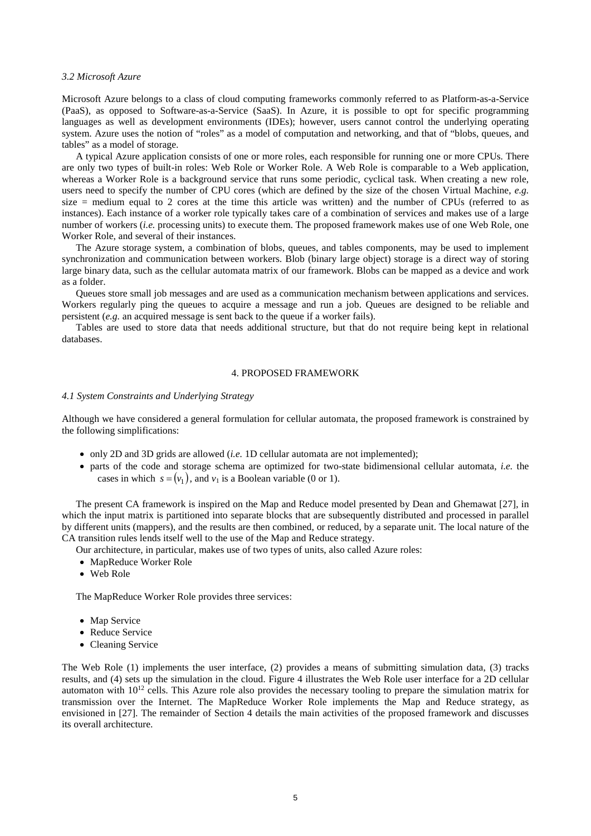#### *3.2 Microsoft Azure*

Microsoft Azure belongs to a class of cloud computing frameworks commonly referred to as Platform-as-a-Service (PaaS), as opposed to Software-as-a-Service (SaaS). In Azure, it is possible to opt for specific programming languages as well as development environments (IDEs); however, users cannot control the underlying operating system. Azure uses the notion of "roles" as a model of computation and networking, and that of "blobs, queues, and tables" as a model of storage.

A typical Azure application consists of one or more roles, each responsible for running one or more CPUs. There are only two types of built-in roles: Web Role or Worker Role. A Web Role is comparable to a Web application, whereas a Worker Role is a background service that runs some periodic, cyclical task. When creating a new role, users need to specify the number of CPU cores (which are defined by the size of the chosen Virtual Machine, *e.g.* size = medium equal to 2 cores at the time this article was written) and the number of CPUs (referred to as instances). Each instance of a worker role typically takes care of a combination of services and makes use of a large number of workers (*i.e.* processing units) to execute them. The proposed framework makes use of one Web Role, one Worker Role, and several of their instances.

The Azure storage system, a combination of blobs, queues, and tables components, may be used to implement synchronization and communication between workers. Blob (binary large object) storage is a direct way of storing large binary data, such as the cellular automata matrix of our framework. Blobs can be mapped as a device and work as a folder.

Queues store small job messages and are used as a communication mechanism between applications and services. Workers regularly ping the queues to acquire a message and run a job. Queues are designed to be reliable and persistent (*e.g.* an acquired message is sent back to the queue if a worker fails).

Tables are used to store data that needs additional structure, but that do not require being kept in relational databases.

## 4. PROPOSED FRAMEWORK

## *4.1 System Constraints and Underlying Strategy*

Although we have considered a general formulation for cellular automata, the proposed framework is constrained by the following simplifications:

- only 2D and 3D grids are allowed (*i.e.* 1D cellular automata are not implemented);
- parts of the code and storage schema are optimized for two-state bidimensional cellular automata, *i.e.* the cases in which  $s = (v_1)$ , and  $v_1$  is a Boolean variable (0 or 1).

The present CA framework is inspired on the Map and Reduce model presented by Dean and Ghemawat [27], in which the input matrix is partitioned into separate blocks that are subsequently distributed and processed in parallel by different units (mappers), and the results are then combined, or reduced, by a separate unit. The local nature of the CA transition rules lends itself well to the use of the Map and Reduce strategy.

Our architecture, in particular, makes use of two types of units, also called Azure roles:

- MapReduce Worker Role
- Web Role

The MapReduce Worker Role provides three services:

- Map Service
- Reduce Service
- Cleaning Service

The Web Role (1) implements the user interface, (2) provides a means of submitting simulation data, (3) tracks results, and (4) sets up the simulation in the cloud. Figure 4 illustrates the Web Role user interface for a 2D cellular automaton with  $10^{12}$  cells. This Azure role also provides the necessary tooling to prepare the simulation matrix for transmission over the Internet. The MapReduce Worker Role implements the Map and Reduce strategy, as envisioned in [27]. The remainder of Section 4 details the main activities of the proposed framework and discusses its overall architecture.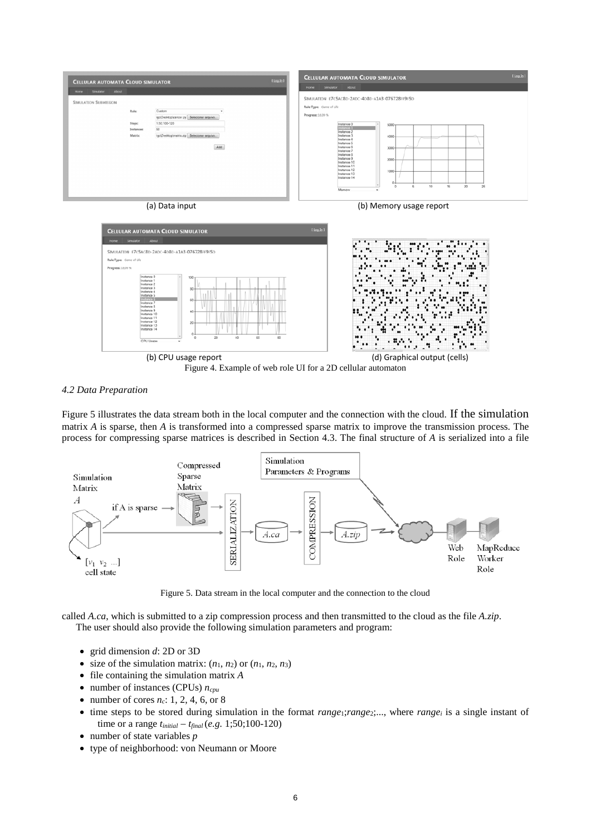

Figure 4. Example of web role UI for a 2D cellular automaton

# *4.2 Data Preparation*

Figure 5 illustrates the data stream both in the local computer and the connection with the cloud. If the simulation matrix *A* is sparse, then *A* is transformed into a compressed sparse matrix to improve the transmission process. The process for compressing sparse matrices is described in Section 4.3. The final structure of *A* is serialized into a file



Figure 5. Data stream in the local computer and the connection to the cloud

called *A.ca*, which is submitted to a zip compression process and then transmitted to the cloud as the file *A.zip*. The user should also provide the following simulation parameters and program:

- grid dimension *d*: 2D or 3D
- size of the simulation matrix:  $(n_1, n_2)$  or  $(n_1, n_2, n_3)$
- file containing the simulation matrix *A*
- number of instances (CPUs)  $n_{cpu}$
- number of cores  $n_c$ : 1, 2, 4, 6, or 8
- time steps to be stored during simulation in the format  $range_1; range_2; \ldots$ , where  $range_i$  is a single instant of time or a range *tinitial* − *tfinal* (*e.g.* 1;50;100-120)
- number of state variables *p*
- type of neighborhood: von Neumann or Moore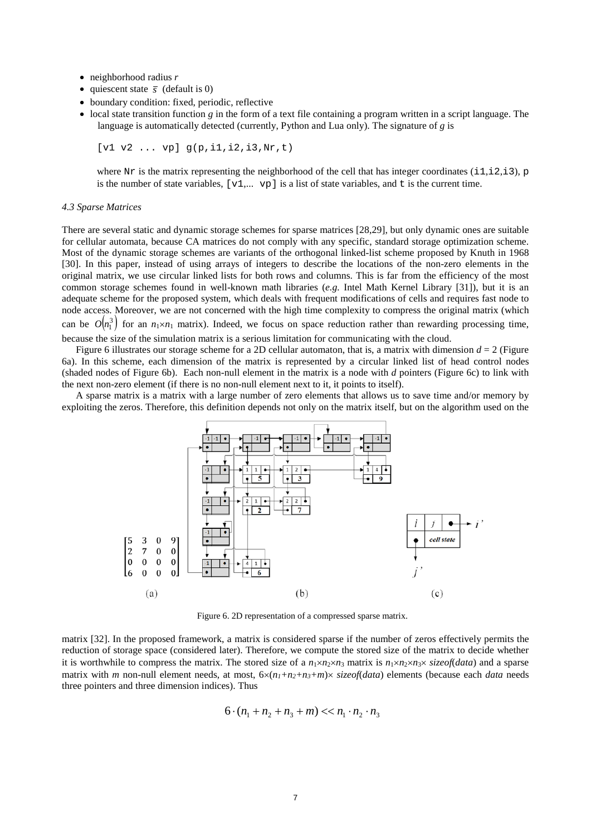- neighborhood radius *r*
- quiescent state  $\bar{s}$  (default is 0)
- boundary condition: fixed, periodic, reflective
- local state transition function  $g$  in the form of a text file containing a program written in a script language. The language is automatically detected (currently, Python and Lua only). The signature of *g* is

 $[v1 v2 ... vp] g(p, i1, i2, i3, Nr, t)$ 

where  $Nr$  is the matrix representing the neighborhood of the cell that has integer coordinates (i1,i2,i3), p is the number of state variables,  $[v1,...]$  vp is a list of state variables, and t is the current time.

### *4.3 Sparse Matrices*

There are several static and dynamic storage schemes for sparse matrices [28,29], but only dynamic ones are suitable for cellular automata, because CA matrices do not comply with any specific, standard storage optimization scheme. Most of the dynamic storage schemes are variants of the orthogonal linked-list scheme proposed by Knuth in 1968 [30]. In this paper, instead of using arrays of integers to describe the locations of the non-zero elements in the original matrix, we use circular linked lists for both rows and columns. This is far from the efficiency of the most common storage schemes found in well-known math libraries (*e.g.* Intel Math Kernel Library [31]), but it is an adequate scheme for the proposed system, which deals with frequent modifications of cells and requires fast node to node access. Moreover, we are not concerned with the high time complexity to compress the original matrix (which can be  $O(n_1^3)$  for an  $n_1 \times n_1$  matrix). Indeed, we focus on space reduction rather than rewarding processing time, because the size of the simulation matrix is a serious limitation for communicating with the cloud.

Figure 6 illustrates our storage scheme for a 2D cellular automaton, that is, a matrix with dimension *d* = 2 (Figure 6a). In this scheme, each dimension of the matrix is represented by a circular linked list of head control nodes (shaded nodes of Figure 6b). Each non-null element in the matrix is a node with *d* pointers (Figure 6c) to link with the next non-zero element (if there is no non-null element next to it, it points to itself).

A sparse matrix is a matrix with a large number of zero elements that allows us to save time and/or memory by exploiting the zeros. Therefore, this definition depends not only on the matrix itself, but on the algorithm used on the



Figure 6. 2D representation of a compressed sparse matrix.

matrix [32]. In the proposed framework, a matrix is considered sparse if the number of zeros effectively permits the reduction of storage space (considered later). Therefore, we compute the stored size of the matrix to decide whether it is worthwhile to compress the matrix. The stored size of a  $n_1 \times n_2 \times n_3$  matrix is  $n_1 \times n_2 \times n_3 \times sizeof(data)$  and a sparse matrix with *m* non-null element needs, at most, 6×(*n1+n2+n3+m*)× *sizeof*(*data*) elements (because each *data* needs three pointers and three dimension indices). Thus

$$
6 \cdot (n_1 + n_2 + n_3 + m) \ll n_1 \cdot n_2 \cdot n_3
$$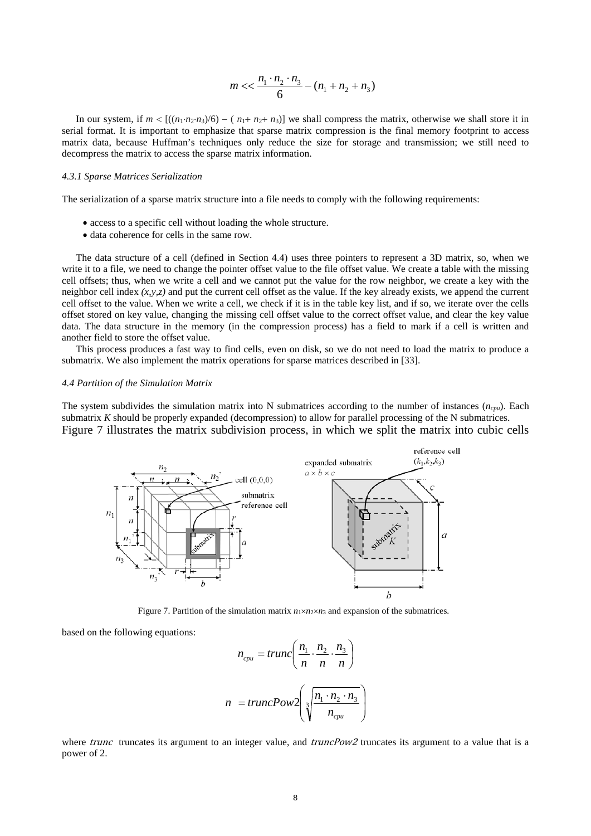$$
m \ll \frac{n_1 \cdot n_2 \cdot n_3}{6} - (n_1 + n_2 + n_3)
$$

In our system, if  $m < [(n_1 \cdot n_2 \cdot n_3)/6] - (n_1 + n_2 + n_3)]$  we shall compress the matrix, otherwise we shall store it in serial format. It is important to emphasize that sparse matrix compression is the final memory footprint to access matrix data, because Huffman's techniques only reduce the size for storage and transmission; we still need to decompress the matrix to access the sparse matrix information.

## *4.3.1 Sparse Matrices Serialization*

The serialization of a sparse matrix structure into a file needs to comply with the following requirements:

- access to a specific cell without loading the whole structure.
- data coherence for cells in the same row.

The data structure of a cell (defined in Section 4.4) uses three pointers to represent a 3D matrix, so, when we write it to a file, we need to change the pointer offset value to the file offset value. We create a table with the missing cell offsets; thus, when we write a cell and we cannot put the value for the row neighbor, we create a key with the neighbor cell index  $(x, y, z)$  and put the current cell offset as the value. If the key already exists, we append the current cell offset to the value. When we write a cell, we check if it is in the table key list, and if so, we iterate over the cells offset stored on key value, changing the missing cell offset value to the correct offset value, and clear the key value data. The data structure in the memory (in the compression process) has a field to mark if a cell is written and another field to store the offset value.

This process produces a fast way to find cells, even on disk, so we do not need to load the matrix to produce a submatrix. We also implement the matrix operations for sparse matrices described in [33].

#### *4.4 Partition of the Simulation Matrix*

The system subdivides the simulation matrix into N submatrices according to the number of instances (*ncpu*). Each submatrix *K* should be properly expanded (decompression) to allow for parallel processing of the N submatrices. Figure 7 illustrates the matrix subdivision process, in which we split the matrix into cubic cells



Figure 7. Partition of the simulation matrix  $n_1 \times n_2 \times n_3$  and expansion of the submatrices.

based on the following equations:

$$
n_{cpu} = trunc\left(\frac{n_1}{n} \cdot \frac{n_2}{n} \cdot \frac{n_3}{n}\right)
$$

$$
n = truncPow2\left(\sqrt[3]{\frac{n_1 \cdot n_2 \cdot n_3}{n_{cpu}}}\right)
$$

where *trunc* truncates its argument to an integer value, and *truncPow2* truncates its argument to a value that is a power of 2.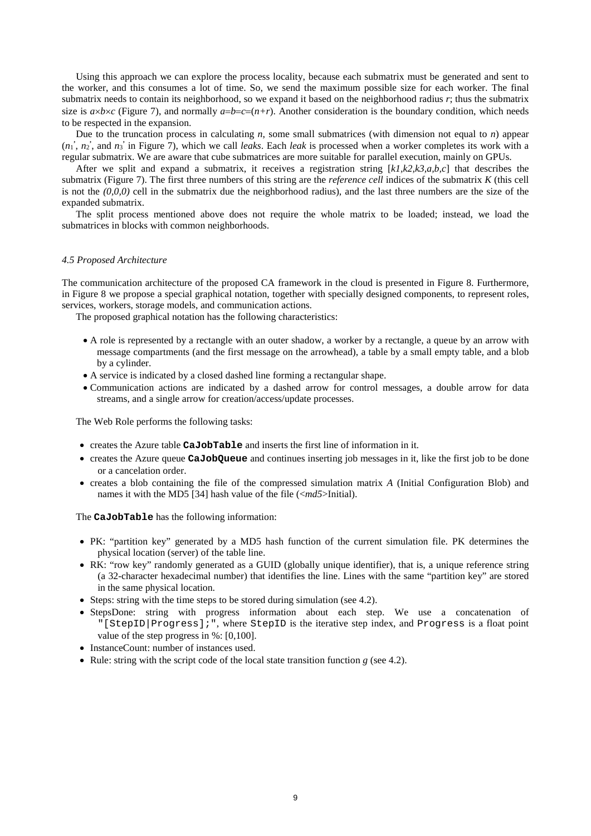Using this approach we can explore the process locality, because each submatrix must be generated and sent to the worker, and this consumes a lot of time. So, we send the maximum possible size for each worker. The final submatrix needs to contain its neighborhood, so we expand it based on the neighborhood radius *r*; thus the submatrix size is  $a \times b \times c$  (Figure 7), and normally  $a=b=c=(n+r)$ . Another consideration is the boundary condition, which needs to be respected in the expansion.

Due to the truncation process in calculating *n*, some small submatrices (with dimension not equal to *n*) appear  $(n_1, n_2)$ , and  $n_3$  in Figure 7), which we call *leaks*. Each *leak* is processed when a worker completes its work with a regular submatrix. We are aware that cube submatrices are more suitable for parallel execution, mainly on GPUs.

After we split and expand a submatrix, it receives a registration string [*k1,k2,k3,a,b,c*] that describes the submatrix (Figure 7). The first three numbers of this string are the *reference cell* indices of the submatrix *K* (this cell is not the  $(0,0,0)$  cell in the submatrix due the neighborhood radius), and the last three numbers are the size of the expanded submatrix.

The split process mentioned above does not require the whole matrix to be loaded; instead, we load the submatrices in blocks with common neighborhoods.

## *4.5 Proposed Architecture*

The communication architecture of the proposed CA framework in the cloud is presented in Figure 8. Furthermore, in Figure 8 we propose a special graphical notation, together with specially designed components, to represent roles, services, workers, storage models, and communication actions.

The proposed graphical notation has the following characteristics:

- A role is represented by a rectangle with an outer shadow, a worker by a rectangle, a queue by an arrow with message compartments (and the first message on the arrowhead), a table by a small empty table, and a blob by a cylinder.
- A service is indicated by a closed dashed line forming a rectangular shape.
- Communication actions are indicated by a dashed arrow for control messages, a double arrow for data streams, and a single arrow for creation/access/update processes.

The Web Role performs the following tasks:

- creates the Azure table **CaJobTable** and inserts the first line of information in it.
- creates the Azure queue **CaJobQueue** and continues inserting job messages in it, like the first job to be done or a cancelation order.
- creates a blob containing the file of the compressed simulation matrix *A* (Initial Configuration Blob) and names it with the MD5 [34] hash value of the file (<*md5*>Initial).

#### The **CaJobTable** has the following information:

- PK: "partition key" generated by a MD5 hash function of the current simulation file. PK determines the physical location (server) of the table line.
- RK: "row key" randomly generated as a GUID (globally unique identifier), that is, a unique reference string (a 32-character hexadecimal number) that identifies the line. Lines with the same "partition key" are stored in the same physical location.
- Steps: string with the time steps to be stored during simulation (see 4.2).
- StepsDone: string with progress information about each step. We use a concatenation of "[StepID|Progress];", where StepID is the iterative step index, and Progress is a float point value of the step progress in %: [0,100].
- InstanceCount: number of instances used.
- Rule: string with the script code of the local state transition function  $g$  (see 4.2).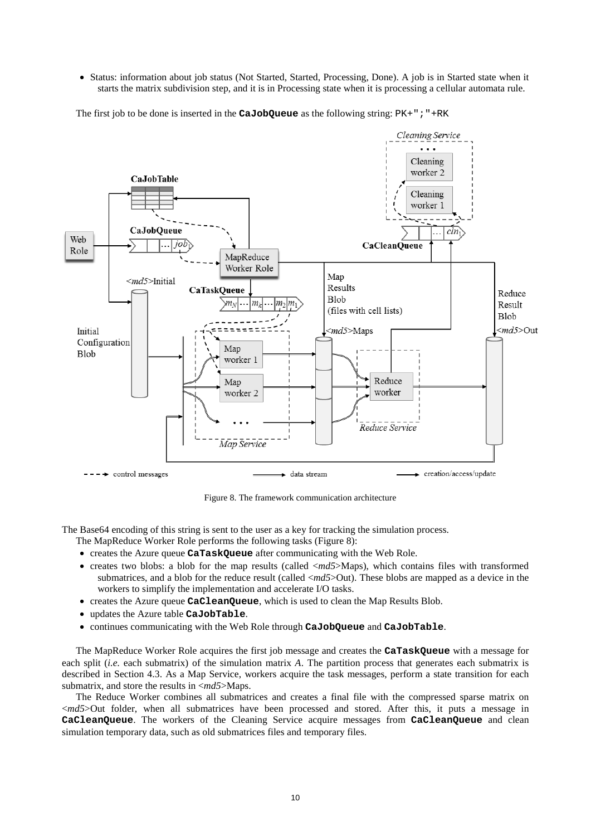• Status: information about job status (Not Started, Started, Processing, Done). A job is in Started state when it starts the matrix subdivision step, and it is in Processing state when it is processing a cellular automata rule.

The first job to be done is inserted in the **CaJobQueue** as the following string: PK+"; "+RK



Figure 8. The framework communication architecture

The Base64 encoding of this string is sent to the user as a key for tracking the simulation process.

- The MapReduce Worker Role performs the following tasks (Figure 8):
- creates the Azure queue **CaTaskQueue** after communicating with the Web Role.
- creates two blobs: a blob for the map results (called <*md5*>Maps), which contains files with transformed submatrices, and a blob for the reduce result (called <*md5*>Out). These blobs are mapped as a device in the workers to simplify the implementation and accelerate I/O tasks.
- creates the Azure queue **CaCleanQueue**, which is used to clean the Map Results Blob.
- updates the Azure table **CaJobTable**.
- continues communicating with the Web Role through **CaJobQueue** and **CaJobTable**.

The MapReduce Worker Role acquires the first job message and creates the **CaTaskQueue** with a message for each split (*i.e.* each submatrix) of the simulation matrix *A*. The partition process that generates each submatrix is described in Section 4.3. As a Map Service, workers acquire the task messages, perform a state transition for each submatrix, and store the results in <*md5*>Maps.

The Reduce Worker combines all submatrices and creates a final file with the compressed sparse matrix on <*md5*>Out folder, when all submatrices have been processed and stored. After this, it puts a message in **CaCleanQueue**. The workers of the Cleaning Service acquire messages from **CaCleanQueue** and clean simulation temporary data, such as old submatrices files and temporary files.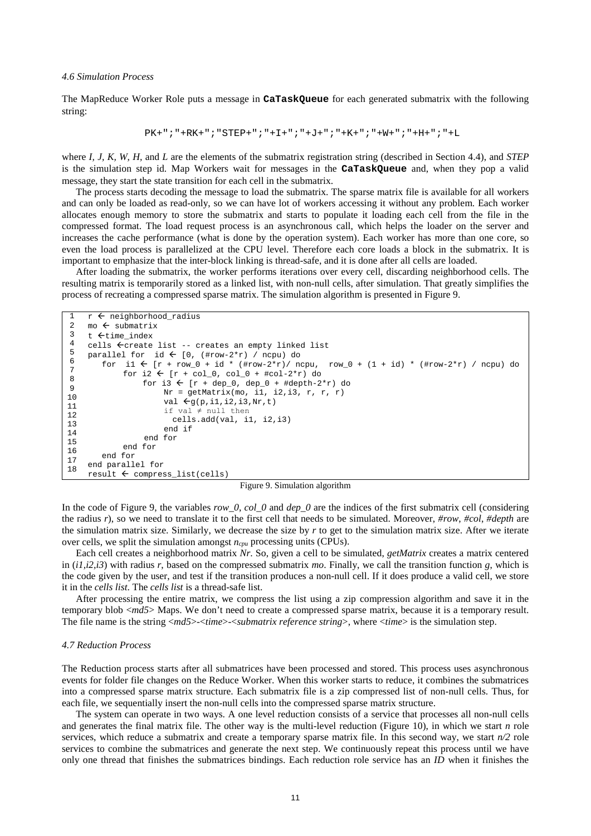## *4.6 Simulation Process*

The MapReduce Worker Role puts a message in **CaTaskQueue** for each generated submatrix with the following string:

PK+";"+RK+";"STEP+";"+I+";"+J+";"+K+";"+W+";"+H+";"+L

where *I, J, K, W, H,* and *L* are the elements of the submatrix registration string (described in Section 4.4), and *STEP* is the simulation step id. Map Workers wait for messages in the **CaTaskQueue** and, when they pop a valid message, they start the state transition for each cell in the submatrix.

The process starts decoding the message to load the submatrix. The sparse matrix file is available for all workers and can only be loaded as read-only, so we can have lot of workers accessing it without any problem. Each worker allocates enough memory to store the submatrix and starts to populate it loading each cell from the file in the compressed format. The load request process is an asynchronous call, which helps the loader on the server and increases the cache performance (what is done by the operation system). Each worker has more than one core, so even the load process is parallelized at the CPU level. Therefore each core loads a block in the submatrix. It is important to emphasize that the inter-block linking is thread-safe, and it is done after all cells are loaded.

After loading the submatrix, the worker performs iterations over every cell, discarding neighborhood cells. The resulting matrix is temporarily stored as a linked list, with non-null cells, after simulation. That greatly simplifies the process of recreating a compressed sparse matrix. The simulation algorithm is presented in Figure 9.

```
1
\overline{2}3
4
5
6
7
8
9
10
11
12
13
14
15
16
17
18
     r \leftarrow neighborhood_radius
     mo \leftarrow submatrixt \tt{time_index}cells \epsiloncreate list -- creates an empty linked list
     parallel for id \leftarrow [0, (#row-2*r) / ncpu) do
        for il \leftarrow [r + row_0 + id * (#row-2*r)/ ncpu, row_0 + (1 + id) * (#row-2*r) / ncpu) do
             for i2 \leftarrow [r + col_0, col_0 + #col-2*r) do
                   for i3 \leftarrow [r + dep_0, dep_0 + #depth-2*r) do
                        Nr = getMatrix(mo, i1, i2, i3, r, r, r)val \leftarrow q(p,i1,i2,i3,Nr,t)if val ≠ null then
                          cells.add(val, i1, i2,i3)
                        end if
                   end for
             end for
        end for
     end parallel for
     result \leftarrow compress_list(cells)
```
Figure 9. Simulation algorithm

In the code of Figure 9, the variables *row\_0*, *col\_0* and *dep\_0* are the indices of the first submatrix cell (considering the radius *r*), so we need to translate it to the first cell that needs to be simulated. Moreover, *#row*, *#col*, *#depth* are the simulation matrix size. Similarly, we decrease the size by *r* to get to the simulation matrix size. After we iterate over cells, we split the simulation amongst  $n_{cpu}$  processing units (CPUs).

Each cell creates a neighborhood matrix *Nr*. So, given a cell to be simulated, *getMatrix* creates a matrix centered in (*i1,i2,i3*) with radius *r*, based on the compressed submatrix *mo*. Finally, we call the transition function *g*, which is the code given by the user, and test if the transition produces a non-null cell. If it does produce a valid cell, we store it in the *cells list*. The *cells list* is a thread-safe list.

After processing the entire matrix, we compress the list using a zip compression algorithm and save it in the temporary blob <*md5*> Maps. We don't need to create a compressed sparse matrix, because it is a temporary result. The file name is the string <*md5*>-<*time*>-<*submatrix reference string*>, where <*time*> is the simulation step.

#### *4.7 Reduction Process*

The Reduction process starts after all submatrices have been processed and stored. This process uses asynchronous events for folder file changes on the Reduce Worker. When this worker starts to reduce, it combines the submatrices into a compressed sparse matrix structure. Each submatrix file is a zip compressed list of non-null cells. Thus, for each file, we sequentially insert the non-null cells into the compressed sparse matrix structure.

The system can operate in two ways. A one level reduction consists of a service that processes all non-null cells and generates the final matrix file. The other way is the multi-level reduction (Figure 10), in which we start *n* role services, which reduce a submatrix and create a temporary sparse matrix file. In this second way, we start *n/2* role services to combine the submatrices and generate the next step. We continuously repeat this process until we have only one thread that finishes the submatrices bindings. Each reduction role service has an *ID* when it finishes the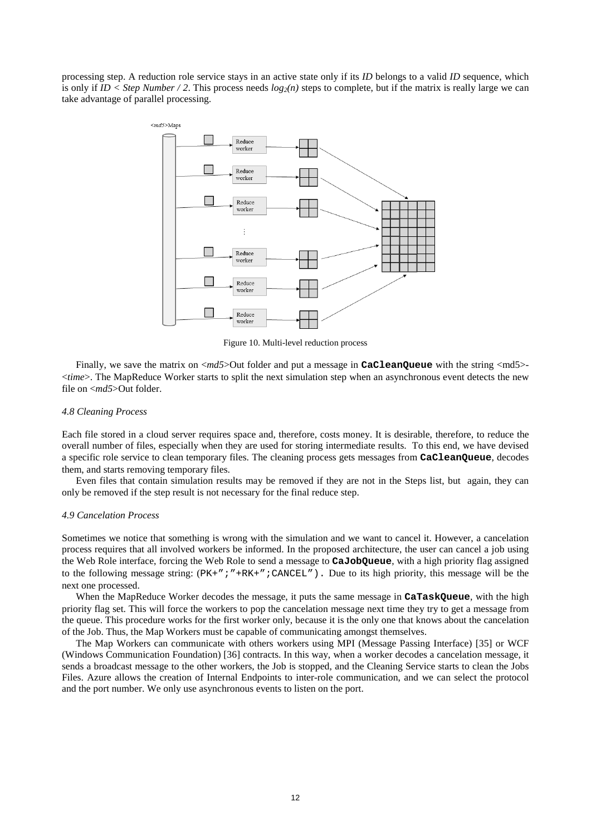processing step. A reduction role service stays in an active state only if its *ID* belongs to a valid *ID* sequence, which is only if  $ID <$  *Step Number* / 2. This process needs  $log_2(n)$  steps to complete, but if the matrix is really large we can take advantage of parallel processing.



Figure 10. Multi-level reduction process

Finally, we save the matrix on  $\langle md5 \rangle$ Out folder and put a message in **CaCleanQueue** with the string  $\langle md5 \rangle$ -<*time*>. The MapReduce Worker starts to split the next simulation step when an asynchronous event detects the new file on <*md5*>Out folder.

## *4.8 Cleaning Process*

Each file stored in a cloud server requires space and, therefore, costs money. It is desirable, therefore, to reduce the overall number of files, especially when they are used for storing intermediate results. To this end, we have devised a specific role service to clean temporary files. The cleaning process gets messages from **CaCleanQueue**, decodes them, and starts removing temporary files.

Even files that contain simulation results may be removed if they are not in the Steps list, but again, they can only be removed if the step result is not necessary for the final reduce step.

#### *4.9 Cancelation Process*

Sometimes we notice that something is wrong with the simulation and we want to cancel it. However, a cancelation process requires that all involved workers be informed. In the proposed architecture, the user can cancel a job using the Web Role interface, forcing the Web Role to send a message to **CaJobQueue**, with a high priority flag assigned to the following message string:  $(PK + "T + RK + "GANCEL")$ . Due to its high priority, this message will be the next one processed.

When the MapReduce Worker decodes the message, it puts the same message in **CaTaskQueue**, with the high priority flag set. This will force the workers to pop the cancelation message next time they try to get a message from the queue. This procedure works for the first worker only, because it is the only one that knows about the cancelation of the Job. Thus, the Map Workers must be capable of communicating amongst themselves.

The Map Workers can communicate with others workers using MPI (Message Passing Interface) [35] or WCF (Windows Communication Foundation) [36] contracts. In this way, when a worker decodes a cancelation message, it sends a broadcast message to the other workers, the Job is stopped, and the Cleaning Service starts to clean the Jobs Files. Azure allows the creation of Internal Endpoints to inter-role communication, and we can select the protocol and the port number. We only use asynchronous events to listen on the port.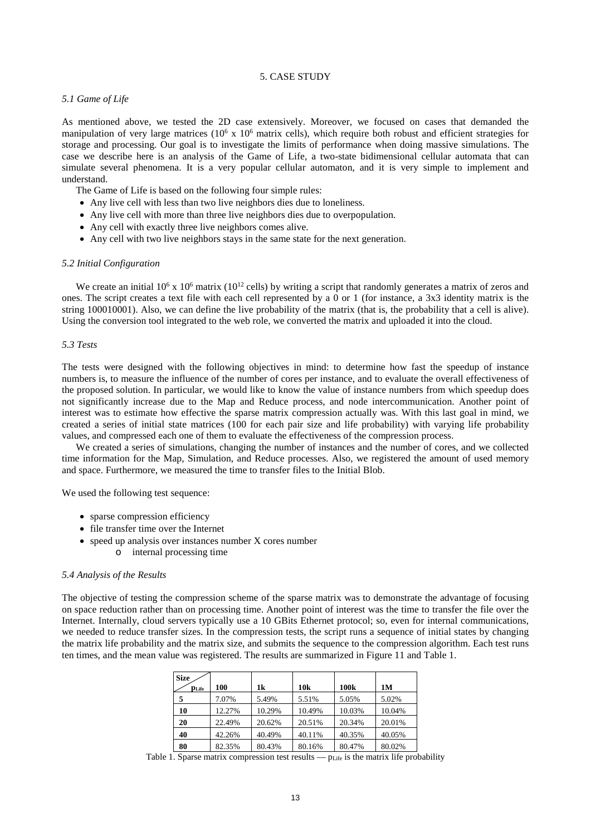# 5. CASE STUDY

## *5.1 Game of Life*

As mentioned above, we tested the 2D case extensively. Moreover, we focused on cases that demanded the manipulation of very large matrices  $(10^6 \times 10^6 \text{ matrix cells})$ , which require both robust and efficient strategies for storage and processing. Our goal is to investigate the limits of performance when doing massive simulations. The case we describe here is an analysis of the Game of Life, a two-state bidimensional cellular automata that can simulate several phenomena. It is a very popular cellular automaton, and it is very simple to implement and understand.

The Game of Life is based on the following four simple rules:

- Any live cell with less than two live neighbors dies due to loneliness.
- Any live cell with more than three live neighbors dies due to overpopulation.
- Any cell with exactly three live neighbors comes alive.
- Any cell with two live neighbors stays in the same state for the next generation.

#### *5.2 Initial Configuration*

We create an initial  $10^6$  x  $10^6$  matrix ( $10^{12}$  cells) by writing a script that randomly generates a matrix of zeros and ones. The script creates a text file with each cell represented by a 0 or 1 (for instance, a 3x3 identity matrix is the string 100010001). Also, we can define the live probability of the matrix (that is, the probability that a cell is alive). Using the conversion tool integrated to the web role, we converted the matrix and uploaded it into the cloud.

## *5.3 Tests*

The tests were designed with the following objectives in mind: to determine how fast the speedup of instance numbers is, to measure the influence of the number of cores per instance, and to evaluate the overall effectiveness of the proposed solution. In particular, we would like to know the value of instance numbers from which speedup does not significantly increase due to the Map and Reduce process, and node intercommunication. Another point of interest was to estimate how effective the sparse matrix compression actually was. With this last goal in mind, we created a series of initial state matrices (100 for each pair size and life probability) with varying life probability values, and compressed each one of them to evaluate the effectiveness of the compression process.

We created a series of simulations, changing the number of instances and the number of cores, and we collected time information for the Map, Simulation, and Reduce processes. Also, we registered the amount of used memory and space. Furthermore, we measured the time to transfer files to the Initial Blob.

We used the following test sequence:

- sparse compression efficiency
- file transfer time over the Internet
- speed up analysis over instances number X cores number o internal processing time

#### *5.4 Analysis of the Results*

The objective of testing the compression scheme of the sparse matrix was to demonstrate the advantage of focusing on space reduction rather than on processing time. Another point of interest was the time to transfer the file over the Internet. Internally, cloud servers typically use a 10 GBits Ethernet protocol; so, even for internal communications, we needed to reduce transfer sizes. In the compression tests, the script runs a sequence of initial states by changing the matrix life probability and the matrix size, and submits the sequence to the compression algorithm. Each test runs ten times, and the mean value was registered. The results are summarized in Figure 11 and Table 1.

| <b>Size</b>  |        |        |        |        |           |
|--------------|--------|--------|--------|--------|-----------|
| <b>PLife</b> | 100    | 1k     | 10k    | 100k   | <b>1M</b> |
|              | 7.07%  | 5.49%  | 5.51%  | 5.05%  | 5.02%     |
| 10           | 12.27% | 10.29% | 10.49% | 10.03% | 10.04%    |
| 20           | 22.49% | 20.62% | 20.51% | 20.34% | 20.01%    |
| 40           | 42.26% | 40.49% | 40.11% | 40.35% | 40.05%    |
| 80           | 82.35% | 80.43% | 80.16% | 80.47% | 80.02%    |

Table 1. Sparse matrix compression test results  $-$  p<sub>Life</sub> is the matrix life probability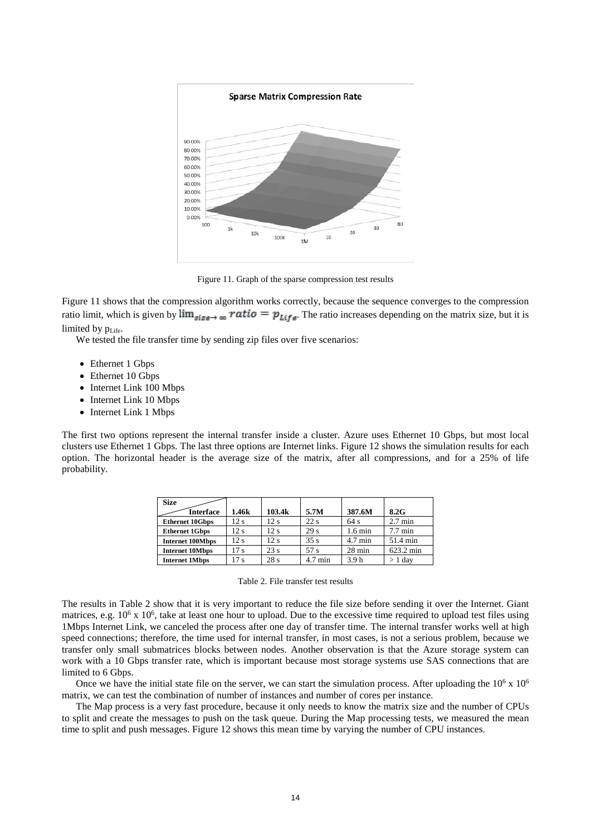

Figure 11. Graph of the sparse compression test results

Figure 11 shows that the compression algorithm works correctly, because the sequence converges to the compression ratio limit, which is given by  $\lim_{\text{size}\to\infty} \text{ratio} = p_{\text{Life}}$ . The ratio increases depending on the matrix size, but it is limited by  $p_{\text{Life}}$ .

We tested the file transfer time by sending zip files over five scenarios:

- Ethernet 1 Gbps
- Ethernet 10 Gbps
- Internet Link 100 Mbps
- Internet Link 10 Mbps
- Internet Link 1 Mbps

The first two options represent the internal transfer inside a cluster. Azure uses Ethernet 10 Gbps, but most local clusters use Ethernet 1 Gbps. The last three options are Internet links. Figure 12 shows the simulation results for each option. The horizontal header is the average size of the matrix, after all compressions, and for a 25% of life probability.

| <b>Size</b>             |       |                 |                 |                   |                   |
|-------------------------|-------|-----------------|-----------------|-------------------|-------------------|
| Interface               | 1.46k | 103.4k          | 5.7M            | 387.6M            | 8.2G              |
| <b>Ethernet 10Gbps</b>  | 12 s  | 12s             | 22s             | 64s               | $2.7 \text{ min}$ |
| <b>Ethernet 1Gbps</b>   | 12 s  | 12s             | 29 <sub>s</sub> | 1.6 min           | $7.7 \text{ min}$ |
| <b>Internet 100Mbps</b> | 12 s  | 12s             | 35s             | $4.7 \text{ min}$ | 51.4 min          |
| <b>Internet 10Mbps</b>  | 7s    | 23s             | 57 s            | $28 \text{ min}$  | 623.2 min         |
| <b>Internet 1Mbps</b>   | 7 s   | 28 <sub>s</sub> | $7 \text{ min}$ | 3.9 <sub>h</sub>  | $> 1$ dav         |

Table 2. File transfer test results

The results in Table 2 show that it is very important to reduce the file size before sending it over the Internet. Giant matrices, e.g.  $10^6$  x  $10^6$ , take at least one hour to upload. Due to the excessive time required to upload test files using 1Mbps Internet Link, we canceled the process after one day of transfer time. The internal transfer works well at high speed connections; therefore, the time used for internal transfer, in most cases, is not a serious problem, because we transfer only small submatrices blocks between nodes. Another observation is that the Azure storage system can work with a 10 Gbps transfer rate, which is important because most storage systems use SAS connections that are limited to 6 Gbps.

Once we have the initial state file on the server, we can start the simulation process. After uploading the  $10^6$  x  $10^6$ matrix, we can test the combination of number of instances and number of cores per instance.

The Map process is a very fast procedure, because it only needs to know the matrix size and the number of CPUs to split and create the messages to push on the task queue. During the Map processing tests, we measured the mean time to split and push messages. Figure 12 shows this mean time by varying the number of CPU instances.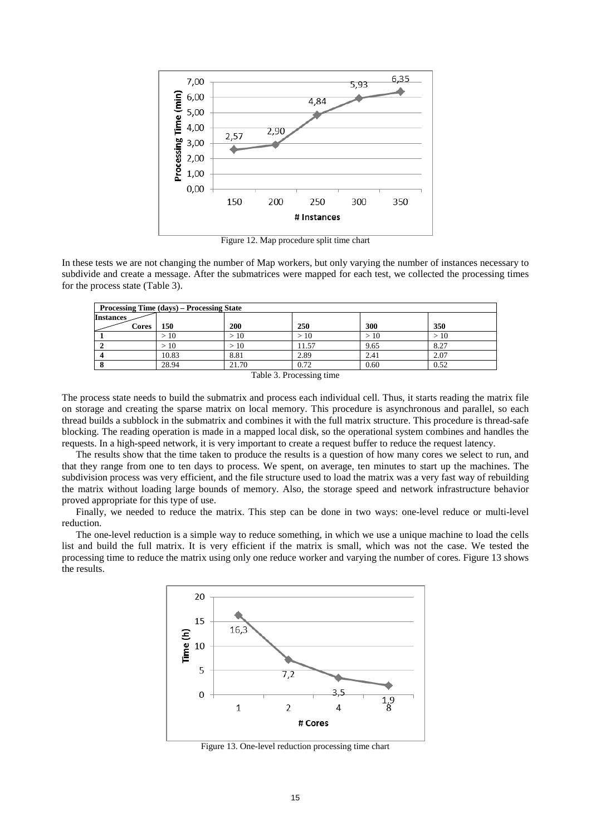

Figure 12. Map procedure split time chart

In these tests we are not changing the number of Map workers, but only varying the number of instances necessary to subdivide and create a message. After the submatrices were mapped for each test, we collected the processing times for the process state (Table 3).

| <b>Processing Time (days) – Processing State</b> |       |       |      |      |      |  |  |  |
|--------------------------------------------------|-------|-------|------|------|------|--|--|--|
| <b>Instances</b>                                 |       |       |      |      |      |  |  |  |
| <b>Cores</b>                                     | 150   | 200   | 250  | 300  | 350  |  |  |  |
|                                                  | 10    | >10   | 10   | - 10 | >10  |  |  |  |
|                                                  | 10    | >10   | 1.57 | 9.65 | 8.27 |  |  |  |
|                                                  | 10.83 | 8.81  | 2.89 | 2.41 | 2.07 |  |  |  |
|                                                  | 28.94 | 21.70 | 0.72 | 0.60 | 0.52 |  |  |  |

Table 3. Processing time

The process state needs to build the submatrix and process each individual cell. Thus, it starts reading the matrix file on storage and creating the sparse matrix on local memory. This procedure is asynchronous and parallel, so each thread builds a subblock in the submatrix and combines it with the full matrix structure. This procedure is thread-safe blocking. The reading operation is made in a mapped local disk, so the operational system combines and handles the requests. In a high-speed network, it is very important to create a request buffer to reduce the request latency.

The results show that the time taken to produce the results is a question of how many cores we select to run, and that they range from one to ten days to process. We spent, on average, ten minutes to start up the machines. The subdivision process was very efficient, and the file structure used to load the matrix was a very fast way of rebuilding the matrix without loading large bounds of memory. Also, the storage speed and network infrastructure behavior proved appropriate for this type of use.

Finally, we needed to reduce the matrix. This step can be done in two ways: one-level reduce or multi-level reduction.

The one-level reduction is a simple way to reduce something, in which we use a unique machine to load the cells list and build the full matrix. It is very efficient if the matrix is small, which was not the case. We tested the processing time to reduce the matrix using only one reduce worker and varying the number of cores. Figure 13 shows the results.



Figure 13. One-level reduction processing time chart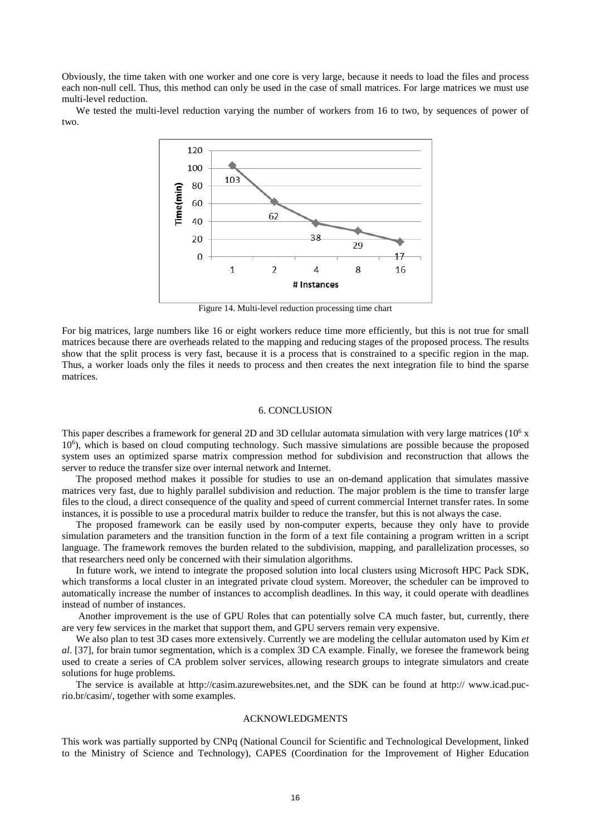Obviously, the time taken with one worker and one core is very large, because it needs to load the files and process each non-null cell. Thus, this method can only be used in the case of small matrices. For large matrices we must use multi-level reduction.

We tested the multi-level reduction varying the number of workers from 16 to two, by sequences of power of two.



Figure 14. Multi-level reduction processing time chart

For big matrices, large numbers like 16 or eight workers reduce time more efficiently, but this is not true for small matrices because there are overheads related to the mapping and reducing stages of the proposed process. The results show that the split process is very fast, because it is a process that is constrained to a specific region in the map. Thus, a worker loads only the files it needs to process and then creates the next integration file to bind the sparse matrices.

## 6. CONCLUSION

This paper describes a framework for general 2D and 3D cellular automata simulation with very large matrices  $(10<sup>6</sup> x)$ 10<sup>6</sup>), which is based on cloud computing technology. Such massive simulations are possible because the proposed system uses an optimized sparse matrix compression method for subdivision and reconstruction that allows the server to reduce the transfer size over internal network and Internet.

The proposed method makes it possible for studies to use an on-demand application that simulates massive matrices very fast, due to highly parallel subdivision and reduction. The major problem is the time to transfer large files to the cloud, a direct consequence of the quality and speed of current commercial Internet transfer rates. In some instances, it is possible to use a procedural matrix builder to reduce the transfer, but this is not always the case.

The proposed framework can be easily used by non-computer experts, because they only have to provide simulation parameters and the transition function in the form of a text file containing a program written in a script language. The framework removes the burden related to the subdivision, mapping, and parallelization processes, so that researchers need only be concerned with their simulation algorithms.

In future work, we intend to integrate the proposed solution into local clusters using Microsoft HPC Pack SDK, which transforms a local cluster in an integrated private cloud system. Moreover, the scheduler can be improved to automatically increase the number of instances to accomplish deadlines. In this way, it could operate with deadlines instead of number of instances.

Another improvement is the use of GPU Roles that can potentially solve CA much faster, but, currently, there are very few services in the market that support them, and GPU servers remain very expensive.

We also plan to test 3D cases more extensively. Currently we are modeling the cellular automaton used by Kim *et al*. [37], for brain tumor segmentation, which is a complex 3D CA example. Finally, we foresee the framework being used to create a series of CA problem solver services, allowing research groups to integrate simulators and create solutions for huge problems.

The service is available at http://casim.azurewebsites.net, and the SDK can be found at http:// www.icad.pucrio.br/casim/, together with some examples.

#### ACKNOWLEDGMENTS

This work was partially supported by CNPq (National Council for Scientific and Technological Development, linked to the Ministry of Science and Technology), CAPES (Coordination for the Improvement of Higher Education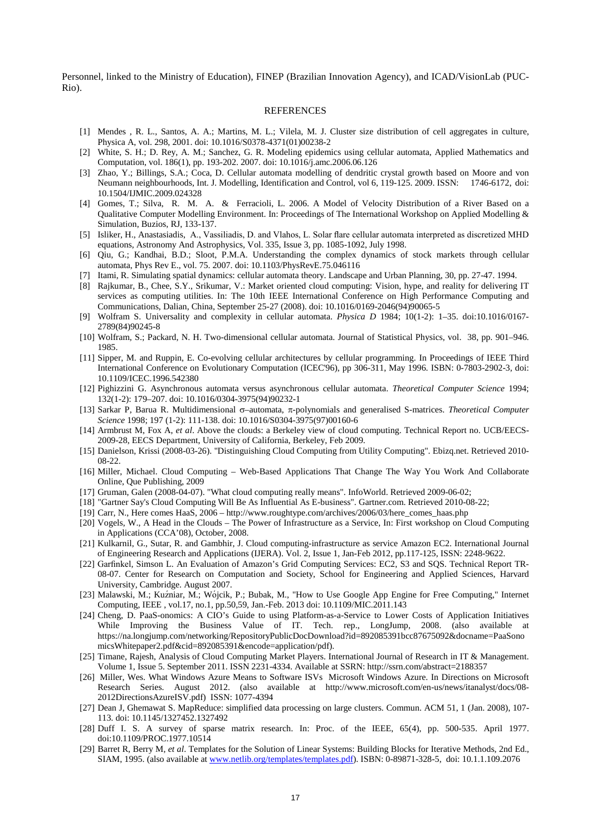Personnel, linked to the Ministry of Education), FINEP (Brazilian Innovation Agency), and ICAD/VisionLab (PUC-Rio).

#### REFERENCES

- [1] Mendes , R. L., Santos, A. A.; Martins, M. L.; Vilela, M. J. Cluster size distribution of cell aggregates in culture, Physica A, vol. 298, 2001. doi: 10.1016/S0378-4371(01)00238-2
- [2] White, S. H.; D. Rey, A. M.; Sanchez, G. R. Modeling epidemics using cellular automata, Applied Mathematics and Computation, vol. 186(1), pp. 193-202. 2007. doi: 10.1016/j.amc.2006.06.126
- [3] Zhao, Y.; Billings, S.A.; Coca, D. Cellular automata modelling of dendritic crystal growth based on Moore and von Neumann neighbourhoods, Int. J. Modelling, Identification and Control, vol 6, 119-125. 2009. ISSN: 1746-6172, doi: 10.1504/IJMIC.2009.024328
- [4] Gomes, T.; Silva, R. M. A. & Ferracioli, L. 2006. A Model of Velocity Distribution of a River Based on a Qualitative Computer Modelling Environment. In: Proceedings of The International Workshop on Applied Modelling & Simulation, Buzios, RJ, 133-137.
- [5] Isliker, H., Anastasiadis, A., Vassiliadis, D. and Vlahos, L. Solar flare cellular automata interpreted as discretized MHD equations, Astronomy And Astrophysics, Vol. 335, Issue 3, pp. 1085-1092, July 1998.
- [6] Qiu, G.; Kandhai, B.D.; Sloot, P.M.A. Understanding the complex dynamics of stock markets through cellular automata, Phys Rev E., vol. 75. 2007. doi: 10.1103/PhysRevE.75.046116
- [7] Itami, R. Simulating spatial dynamics: cellular automata theory. Landscape and Urban Planning, 30, pp. 27-47. 1994.
- [8] Rajkumar, B., Chee, S.Y., Srikumar, V.: Market oriented cloud computing: Vision, hype, and reality for delivering IT services as computing utilities. In: The 10th IEEE International Conference on High Performance Computing and Communications, Dalian, China, September 25-27 (2008). doi: 10.1016/0169-2046(94)90065-5
- [9] Wolfram S. Universality and complexity in cellular automata. *Physica D* 1984; 10(1-2): 1–35. doi:10.1016/0167- 2789(84)90245-8
- [10] Wolfram, S.; Packard, N. H. Two-dimensional cellular automata. Journal of Statistical Physics, vol. 38, pp. 901–946. 1985.
- [11] Sipper, M. and Ruppin, E. Co-evolving cellular architectures by cellular programming. In Proceedings of IEEE Third International Conference on Evolutionary Computation (ICEC'96), pp 306-311, May 1996. ISBN: 0-7803-2902-3, doi: 10.1109/ICEC.1996.542380
- [12] Pighizzini G. Asynchronous automata versus asynchronous cellular automata. *Theoretical Computer Science* 1994; 132(1-2): 179–207. doi: 10.1016/0304-3975(94)90232-1
- [13] Sarkar P, Barua R. Multidimensional σ–automata, π-polynomials and generalised S-matrices. *Theoretical Computer Science* 1998; 197 (1-2): 111-138. doi: 10.1016/S0304-3975(97)00160-6
- [14] Armbrust M, Fox A, *et al*. Above the clouds: a Berkeley view of cloud computing. Technical Report no. UCB/EECS-2009-28, EECS Department, University of California, Berkeley, Feb 2009.
- [15] Danielson, Krissi (2008-03-26). "Distinguishing Cloud Computing from Utility Computing". Ebizq.net. Retrieved 2010- 08-22.
- [16] Miller, Michael. Cloud Computing Web-Based Applications That Change The Way You Work And Collaborate Online, Que Publishing, 2009
- [17] Gruman, Galen (2008-04-07). "What cloud computing really means". InfoWorld. Retrieved 2009-06-02;
- [18] "Gartner Say's Cloud Computing Will Be As Influential As E-business". Gartner.com. Retrieved 2010-08-22;
- [19] Carr, N., Here comes HaaS, 2006 http://www.roughtype.com/archives/2006/03/here\_comes\_haas.php
- [20] Vogels, W., A Head in the Clouds The Power of Infrastructure as a Service, In: First workshop on Cloud Computing in Applications (CCA'08), October, 2008.
- [21] Kulkarnil, G., Sutar, R. and Gambhir, J. Cloud computing-infrastructure as service Amazon EC2. International Journal of Engineering Research and Applications (IJERA). Vol. 2, Issue 1, Jan-Feb 2012, pp.117-125, ISSN: 2248-9622.
- [22] Garfinkel, Simson L. An Evaluation of Amazon's Grid Computing Services: EC2, S3 and SQS. Technical Report TR-08-07. Center for Research on Computation and Society, School for Engineering and Applied Sciences, Harvard University, Cambridge. August 2007.
- [23] Malawski, M.; Kuź niar, M.; Wó jcik, P.; Bubak, M., "How to Use Google App Engine for Free Computing," Internet Computing, IEEE , vol.17, no.1, pp.50,59, Jan.-Feb. 2013 doi: 10.1109/MIC.2011.143
- [24] Cheng, D. PaaS-onomics: A CIO's Guide to using Platform-as-a-Service to Lower Costs of Application Initiatives While Improving the Business Value of IT. Tech. rep., LongJump, 2008. (also available at https://na.longjump.com/networking/RepositoryPublicDocDownload?id=892085391bcc87675092&docname=PaaSono micsWhitepaper2.pdf&cid=892085391&encode=application/pdf).
- [25] Timane, Rajesh, Analysis of Cloud Computing Market Players. International Journal of Research in IT & Management. Volume 1, Issue 5. September 2011. ISSN 2231-4334. Available at SSRN: http://ssrn.com/abstract=2188357
- [26] Miller, Wes. What Windows Azure Means to Software ISVs Microsoft Windows Azure. In Directions on Microsoft Research Series. August 2012. (also available at http://www.microsoft.com/en-us/news/itanalyst/docs/08- 2012DirectionsAzureISV.pdf) ISSN: 1077-4394
- [27] Dean J, Ghemawat S. MapReduce: simplified data processing on large clusters. Commun. ACM 51, 1 (Jan. 2008), 107- 113. doi: 10.1145/1327452.1327492
- [28] Duff I. S. A survey of sparse matrix research. In: Proc. of the IEEE, 65(4), pp. 500-535. April 1977. doi:10.1109/PROC.1977.10514
- [29] Barret R, Berry M, *et al*. Templates for the Solution of Linear Systems: Building Blocks for Iterative Methods, 2nd Ed., SIAM, 1995. (also available at [www.netlib.org/templates/templates.pdf\)](http://www.netlib.org/templates/templates.pdf). ISBN: 0-89871-328-5, doi: 10.1.1.109.2076